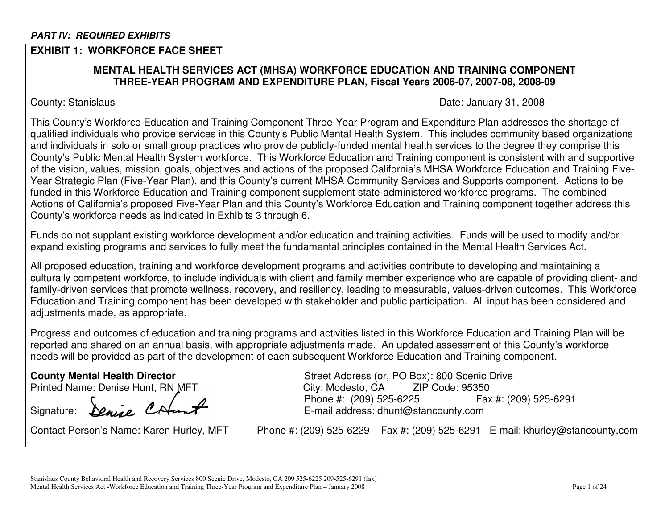# **EXHIBIT 1: WORKFORCE FACE SHEET**

# **MENTAL HEALTH SERVICES ACT (MHSA) WORKFORCE EDUCATION AND TRAINING COMPONENT THREE-YEAR PROGRAM AND EXPENDITURE PLAN, Fiscal Years 2006-07, 2007-08, 2008-09**

County: Stanislaus **Date: January 31, 2008** 

This County's Workforce Education and Training Component Three-Year Program and Expenditure Plan addresses the shortage of qualified individuals who provide services in this County's Public Mental Health System. This includes community based organizations and individuals in solo or small group practices who provide publicly-funded mental health services to the degree they comprise this County's Public Mental Health System workforce. This Workforce Education and Training component is consistent with and supportive of the vision, values, mission, goals, objectives and actions of the proposed California's MHSA Workforce Education and Training Five-Year Strategic Plan (Five-Year Plan), and this County's current MHSA Community Services and Supports component. Actions to be funded in this Workforce Education and Training component supplement state-administered workforce programs. The combined Actions of California's proposed Five-Year Plan and this County's Workforce Education and Training component together address this County's workforce needs as indicated in Exhibits 3 through 6.

Funds do not supplant existing workforce development and/or education and training activities. Funds will be used to modify and/or expand existing programs and services to fully meet the fundamental principles contained in the Mental Health Services Act.

All proposed education, training and workforce development programs and activities contribute to developing and maintaining <sup>a</sup> culturally competent workforce, to include individuals with client and family member experience who are capable of providing client- and family-driven services that promote wellness, recovery, and resiliency, leading to measurable, values-driven outcomes. This Workforce Education and Training component has been developed with stakeholder and public participation. All input has been considered and adjustments made, as appropriate.

Progress and outcomes of education and training programs and activities listed in this Workforce Education and Training Plan will be reported and shared on an annual basis, with appropriate adjustments made. An updated assessment of this County's workforce needs will be provided as part of the development of each subsequent Workforce Education and Training component.

Signature: **Denie CAunt** 

Contact Person's Name: Karen

**County Mental Health Director** Street Address (or, PO Box): 800 Scenic Drive Printed Name: Denise Hunt, RN MFT \_\_\_\_\_\_\_\_\_\_\_\_\_\_\_\_\_\_\_City: Modesto, CA \_\_\_\_ ZIP Code: 95350 Phone #: (209) 525-6225 #: (209) 525-6225 Fax #: (209) 525-6291

Phone #: (209) 525-6229 Fax #: (209) 525-6291 E-mail: khurley@stancounty.com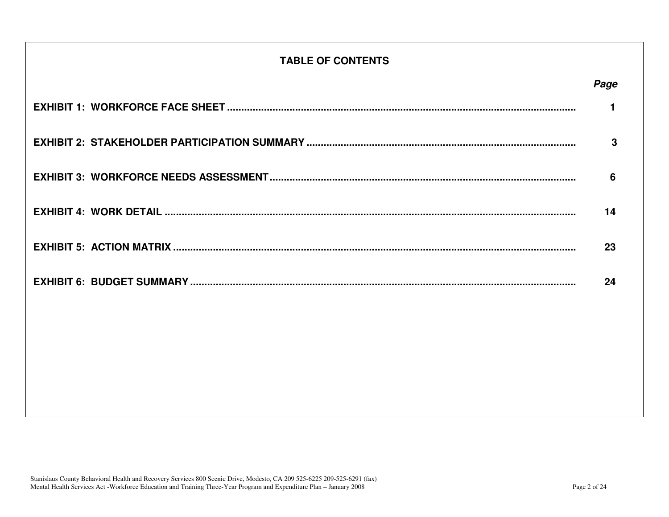# **TABLE OF CONTENTS**

| Page                 |  |
|----------------------|--|
| $\blacktriangleleft$ |  |
| 3                    |  |
| 6                    |  |
| 14                   |  |
| 23                   |  |
| 24                   |  |
|                      |  |
|                      |  |
|                      |  |
|                      |  |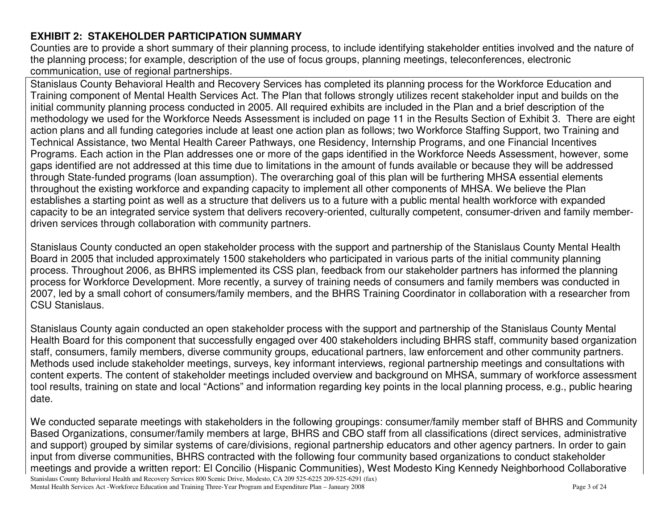# **EXHIBIT 2: STAKEHOLDER PARTICIPATION SUMMARY**

Counties are to provide <sup>a</sup> short summary of their planning process, to include identifying stakeholder entities involved and the nature of the planning process; for example, description of the use of focus groups, planning meetings, teleconferences, electronic communication, use of regional partnerships.

Stanislaus County Behavioral Health and Recovery Services has completed its planning process for the Workforce Education and Training component of Mental Health Services Act. The Plan that follows strongly utilizes recent stakeholder input and builds on the initial community planning process conducted in 2005. All required exhibits are included in the Plan and <sup>a</sup> brief description of the methodology we used for the Workforce Needs Assessment is included on page 11 in the Results Section of Exhibit 3. There are eight action plans and all funding categories include at least one action plan as follows; two Workforce Staffing Support, two Training and Technical Assistance, two Mental Health Career Pathways, one Residency, Internship Programs, and one Financial Incentives Programs. Each action in the Plan addresses one or more of the gaps identified in the Workforce Needs Assessment, however, some gaps identified are not addressed at this time due to limitations in the amount of funds available or because they will be addressed through State-funded programs (loan assumption). The overarching goal of this plan will be furthering MHSA essential elements throughout the existing workforce and expanding capacity to implement all other components of MHSA. We believe the Plan establishes a starting point as well as <sup>a</sup> structure that delivers us to <sup>a</sup> future with <sup>a</sup> public mental health workforce with expanded capacity to be an integrated service system that delivers recovery-oriented, culturally competent, consumer-driven and family memberdriven services through collaboration with community partners.

Stanislaus County conducted an open stakeholder process with the support and partnership of the Stanislaus County Mental Health Board in 2005 that included approximately 1500 stakeholders who participated in various parts of the initial community planning process. Throughout 2006, as BHRS implemented its CSS plan, feedback from our stakeholder partners has informed the planning process for Workforce Development. More recently, <sup>a</sup> survey of training needs of consumers and family members was conducted in 2007, led by <sup>a</sup> small cohort of consumers/family members, and the BHRS Training Coordinator in collaboration with <sup>a</sup> researcher from CSU Stanislaus.

Stanislaus County again conducted an open stakeholder process with the support and partnership of the Stanislaus County Mental Health Board for this component that successfully engaged over 400 stakeholders including BHRS staff, community based organization staff, consumers, family members, diverse community groups, educational partners, law enforcement and other community partners. Methods used include stakeholder meetings, surveys, key informant interviews, regional partnership meetings and consultations with content experts. The content of stakeholder meetings included overview and background on MHSA, summary of workforce assessment tool results, training on state and local "Actions" and information regarding key points in the local planning process, e.g., public hearing date.

Stanislaus County Behavioral Health and Recovery Services 800 Scenic Drive, Modesto, CA 209 525-6225 209-525-6291 (fax) Mental Health Services Act -Workforce Education and Training Three-Year Program and Expenditure Plan – January 2008 Page 3 of 24 We conducted separate meetings with stakeholders in the following groupings: consumer/family member staff of BHRS and Community Based Organizations, consumer/family members at large, BHRS and CBO staff from all classifications (direct services, administrative and support) grouped by similar systems of care/divisions, regional partnership educators and other agency partners. In order to gain input from diverse communities, BHRS contracted with the following four community based organizations to conduct stakeholder meetings and provide <sup>a</sup> written report: El Concilio (Hispanic Communities), West Modesto King Kennedy Neighborhood Collaborative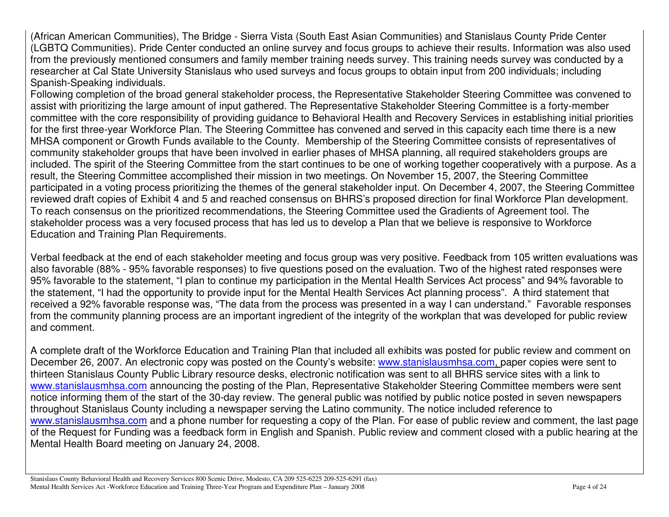(African American Communities), The Bridge - Sierra Vista (South East Asian Communities) and Stanislaus County Pride Center (LGBTQ Communities). Pride Center conducted an online survey and focus groups to achieve their results. Information was also used from the previously mentioned consumers and family member training needs survey. This training needs survey was conducted by <sup>a</sup> researcher at Cal State University Stanislaus who used surveys and focus groups to obtain input from 200 individuals; including Spanish-Speaking individuals.

Following completion of the broad general stakeholder process, the Representative Stakeholder Steering Committee was convened to assist with prioritizing the large amount of input gathered. The Representative Stakeholder Steering Committee is <sup>a</sup> forty-member committee with the core responsibility of providing guidance to Behavioral Health and Recovery Services in establishing initial priorities for the first three-year Workforce Plan. The Steering Committee has convened and served in this capacity each time there is <sup>a</sup> new MHSA component or Growth Funds available to the County. Membership of the Steering Committee consists of representatives of community stakeholder groups that have been involved in earlier phases of MHSA planning, all required stakeholders groups are included. The spirit of the Steering Committee from the start continues to be one of working together cooperatively with <sup>a</sup> purpose. As <sup>a</sup> result, the Steering Committee accomplished their mission in two meetings. On November 15, 2007, the Steering Committee participated in <sup>a</sup> voting process prioritizing the themes of the general stakeholder input. On December 4, 2007, the Steering Committee reviewed draft copies of Exhibit 4 and 5 and reached consensus on BHRS's proposed direction for final Workforce Plan development. To reach consensus on the prioritized recommendations, the Steering Committee used the Gradients of Agreement tool. The stakeholder process was <sup>a</sup> very focused process that has led us to develop <sup>a</sup> Plan that we believe is responsive to Workforce Education and Training Plan Requirements.

Verbal feedback at the end of each stakeholder meeting and focus group was very positive. Feedback from 105 written evaluations was also favorable (88% - 95% favorable responses) to five questions posed on the evaluation. Two of the highest rated responses were 95% favorable to the statement, "I plan to continue my participation in the Mental Health Services Act process" and 94% favorable to the statement, "I had the opportunity to provide input for the Mental Health Services Act planning process". A third statement that received a 92% favorable response was, "The data from the process was presented in <sup>a</sup> way I can understand." Favorable responses from the community planning process are an important ingredient of the integrity of the workplan that was developed for public review and comment.

A complete draft of the Workforce Education and Training Plan that included all exhibits was posted for public review and comment on December 26, 2007. An electronic copy was posted on the County's website: <u>www.stanislausmhsa.com, </u>paper copies were sent to thirteen Stanislaus County Public Library resource desks, electronic notification was sent to all BHRS service sites with <sup>a</sup> link to www.stanislausmhsa.com announcing the posting of the Plan, Representative Stakeholder Steering Committee members were sent notice informing them of the start of the 30-day review. The general public was notified by public notice posted in seven newspapers throughout Stanislaus County including <sup>a</sup> newspaper serving the Latino community. The notice included reference to www.stanislausmhsa.com and a phone number for requesting a copy of the Plan. For ease of public review and comment, the last page of the Request for Funding was <sup>a</sup> feedback form in English and Spanish. Public review and comment closed with <sup>a</sup> public hearing at the Mental Health Board meeting on January 24, 2008.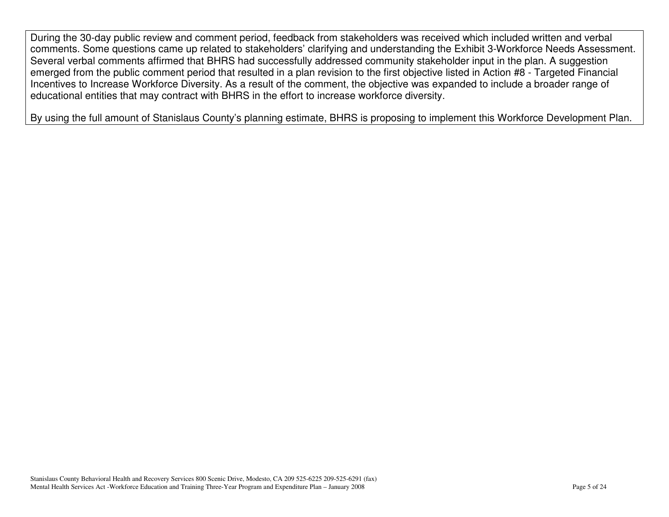During the 30-day public review and comment period, feedback from stakeholders was received which included written and verbal comments. Some questions came up related to stakeholders' clarifying and understanding the Exhibit 3-Workforce Needs Assessment. Several verbal comments affirmed that BHRS had successfully addressed community stakeholder input in the plan. A suggestion emerged from the public comment period that resulted in <sup>a</sup> plan revision to the first objective listed in Action #8 - Targeted Financial Incentives to Increase Workforce Diversity. As <sup>a</sup> result of the comment, the objective was expanded to include <sup>a</sup> broader range of educational entities that may contract with BHRS in the effort to increase workforce diversity.

By using the full amount of Stanislaus County's planning estimate, BHRS is proposing to implement this Workforce Development Plan.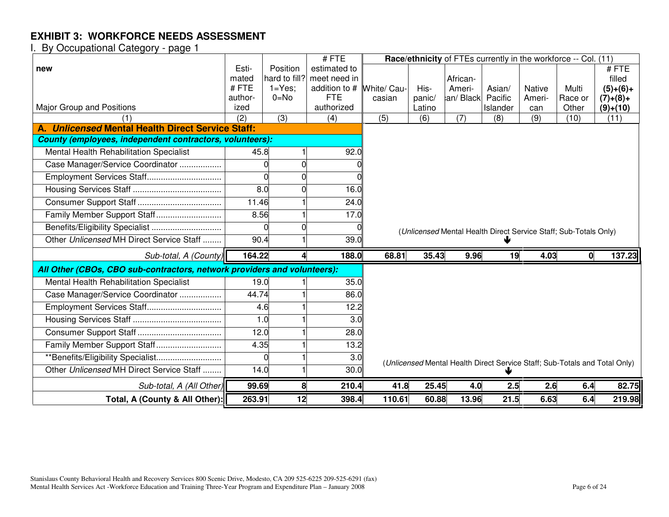|                                                                          |                  |                         | #FTE                        |                       |                  | Race/ethnicity of FTEs currently in the workforce -- Col. (11)   |                   |                  |                  |                                                                            |
|--------------------------------------------------------------------------|------------------|-------------------------|-----------------------------|-----------------------|------------------|------------------------------------------------------------------|-------------------|------------------|------------------|----------------------------------------------------------------------------|
| new                                                                      | Esti-            | Position                | estimated to                |                       |                  |                                                                  |                   |                  |                  | #FTE                                                                       |
|                                                                          | mated            | hard to fill?           | meet need in                |                       |                  | African-                                                         |                   |                  |                  | filled                                                                     |
|                                                                          | #FTE<br>author-  | $1 = Yes$ ;<br>$0 = No$ | addition to #<br><b>FTE</b> | White/ Cau-<br>casian | His-             | Ameri-<br>an/Black                                               | Asian/<br>Pacific | Native<br>Ameri- | Multi            | $(5)+(6)+$                                                                 |
| Major Group and Positions                                                | ized             |                         | authorized                  |                       | panic/<br>Latino |                                                                  | Islander          | can              | Race or<br>Other | $(7)+(8)+$<br>$(9)+(10)$                                                   |
|                                                                          | $\overline{(2)}$ | $\overline{3)}$         | (4)                         | (5)                   | (6)              | $\overline{(7)}$                                                 | (8)               | (9)              | (10)             | (11)                                                                       |
| A. Unlicensed Mental Health Direct Service Staff:                        |                  |                         |                             |                       |                  |                                                                  |                   |                  |                  |                                                                            |
| County (employees, independent contractors, volunteers):                 |                  |                         |                             |                       |                  |                                                                  |                   |                  |                  |                                                                            |
| Mental Health Rehabilitation Specialist                                  | 45.8             |                         | 92.0                        |                       |                  |                                                                  |                   |                  |                  |                                                                            |
| Case Manager/Service Coordinator                                         |                  | 0                       |                             |                       |                  |                                                                  |                   |                  |                  |                                                                            |
| Employment Services Staff                                                |                  | $\Omega$                |                             |                       |                  |                                                                  |                   |                  |                  |                                                                            |
|                                                                          | 8.0              |                         | 16.0                        |                       |                  |                                                                  |                   |                  |                  |                                                                            |
|                                                                          | 11.46            |                         | 24.0                        |                       |                  |                                                                  |                   |                  |                  |                                                                            |
| Family Member Support Staff                                              | 8.56             |                         | 17.0                        |                       |                  |                                                                  |                   |                  |                  |                                                                            |
|                                                                          |                  | ∩                       |                             |                       |                  | (Unlicensed Mental Health Direct Service Staff; Sub-Totals Only) |                   |                  |                  |                                                                            |
| Other Unlicensed MH Direct Service Staff                                 | 90.4             |                         | 39.0                        |                       |                  |                                                                  |                   |                  |                  |                                                                            |
| Sub-total, A (County)                                                    | 164.22           |                         | 188.0                       | 68.81                 | 35.43            | 9.96                                                             | 19                | 4.03             | 0                | 137.23                                                                     |
| All Other (CBOs, CBO sub-contractors, network providers and volunteers): |                  |                         |                             |                       |                  |                                                                  |                   |                  |                  |                                                                            |
| Mental Health Rehabilitation Specialist                                  | 19.0             |                         | 35.0                        |                       |                  |                                                                  |                   |                  |                  |                                                                            |
| Case Manager/Service Coordinator                                         | 44.74            |                         | 86.0                        |                       |                  |                                                                  |                   |                  |                  |                                                                            |
| Employment Services Staff                                                | 4.6              |                         | 12.2                        |                       |                  |                                                                  |                   |                  |                  |                                                                            |
|                                                                          | 1.0              |                         | 3.0                         |                       |                  |                                                                  |                   |                  |                  |                                                                            |
|                                                                          | 12.0             |                         | 28.0                        |                       |                  |                                                                  |                   |                  |                  |                                                                            |
|                                                                          | 4.35             |                         | 13.2                        |                       |                  |                                                                  |                   |                  |                  |                                                                            |
|                                                                          |                  | $\Omega$                | 3.0                         |                       |                  |                                                                  |                   |                  |                  | (Unlicensed Mental Health Direct Service Staff; Sub-Totals and Total Only) |
| Other Unlicensed MH Direct Service Staff                                 | 14.0             |                         | 30.0                        |                       |                  |                                                                  |                   |                  |                  |                                                                            |
| Sub-total, A (All Other)                                                 | 99.69            | 8                       | 210.4                       | 41.8                  | 25.45            | 4.0                                                              | 2.5               | 2.6              | 6.4              | 82.75                                                                      |
| Total, A (County & All Other):                                           | 263.91           | 12                      | 398.4                       | 110.61                | 60.88            | 13.96                                                            | 21.5              | 6.63             | 6.4              | 219.98                                                                     |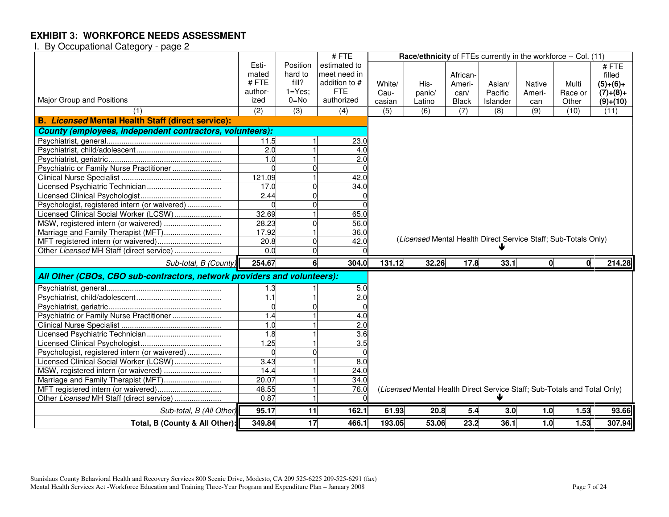|                                                                          |                  |            | #FTE             |        | Race/ethnicity of FTEs currently in the workforce -- Col. (11)           |              |          |        |              |            |
|--------------------------------------------------------------------------|------------------|------------|------------------|--------|--------------------------------------------------------------------------|--------------|----------|--------|--------------|------------|
|                                                                          | Esti-            | Position   | estimated to     |        |                                                                          |              |          |        |              | #FTE       |
|                                                                          | mated            | hard to    | meet need in     |        |                                                                          | African-     |          |        |              | filled     |
|                                                                          | #FTE             | fill?      | addition to #    | White/ | His-                                                                     | Ameri-       | Asian/   | Native | Multi        | $(5)+(6)+$ |
|                                                                          | author-          | $1 = Yes;$ | <b>FTE</b>       | Cau-   | panic/                                                                   | can/         | Pacific  | Ameri- | Race or      | $(7)+(8)+$ |
| Major Group and Positions                                                | ized             | $0 = No$   | authorized       | casian | Latino                                                                   | <b>Black</b> | Islander | can    | Other        | $(9)+(10)$ |
| (1)                                                                      | (2)              | (3)        | (4)              | (5)    | (6)                                                                      | (7)          | (8)      | (9)    | (10)         | (11)       |
| <b>B. Licensed Mental Health Staff (direct service):</b>                 |                  |            |                  |        |                                                                          |              |          |        |              |            |
| County (employees, independent contractors, volunteers):                 |                  |            |                  |        |                                                                          |              |          |        |              |            |
|                                                                          | 11.5             |            | 23.0             |        |                                                                          |              |          |        |              |            |
|                                                                          | $\overline{2.0}$ |            | 4.0              |        |                                                                          |              |          |        |              |            |
|                                                                          | 1.0              |            | $\overline{2.0}$ |        |                                                                          |              |          |        |              |            |
| Psychiatric or Family Nurse Practitioner                                 |                  |            |                  |        |                                                                          |              |          |        |              |            |
|                                                                          | 121.09           |            | 42.0             |        |                                                                          |              |          |        |              |            |
|                                                                          | 17.0             |            | 34.0             |        |                                                                          |              |          |        |              |            |
|                                                                          | 2.44             |            |                  |        |                                                                          |              |          |        |              |            |
| Psychologist, registered intern (or waivered)                            |                  |            |                  |        |                                                                          |              |          |        |              |            |
| Licensed Clinical Social Worker (LCSW)                                   | 32.69            |            | 65.0             |        |                                                                          |              |          |        |              |            |
| MSW, registered intern (or waivered)                                     | 28.23            |            | 56.0             |        |                                                                          |              |          |        |              |            |
| Marriage and Family Therapist (MFT)                                      | 17.92            |            | 36.0             |        |                                                                          |              |          |        |              |            |
|                                                                          | 20.8             |            | 42.0             |        | (Licensed Mental Health Direct Service Staff; Sub-Totals Only)           |              |          |        |              |            |
|                                                                          |                  |            |                  |        |                                                                          |              |          |        |              |            |
| Other Licensed MH Staff (direct service)                                 | 0.0              |            |                  |        |                                                                          |              |          |        |              |            |
| Sub-total, B (County)                                                    | 254.67           |            | 304.0            | 131.12 | 32.26                                                                    | 17.8         | 33.1     | 0      | $\mathbf{0}$ | 214.28     |
| All Other (CBOs, CBO sub-contractors, network providers and volunteers): |                  |            |                  |        |                                                                          |              |          |        |              |            |
|                                                                          | 1.3              |            | 5.0              |        |                                                                          |              |          |        |              |            |
|                                                                          | $\overline{1.1}$ |            | $\overline{2.0}$ |        |                                                                          |              |          |        |              |            |
|                                                                          | $\Omega$         |            |                  |        |                                                                          |              |          |        |              |            |
| Psychiatric or Family Nurse Practitioner                                 | 1.4              |            | 4.0              |        |                                                                          |              |          |        |              |            |
|                                                                          | 1.0              |            | 2.0              |        |                                                                          |              |          |        |              |            |
|                                                                          | 1.8              |            | 3.6              |        |                                                                          |              |          |        |              |            |
|                                                                          | 1.25             |            | 3.5              |        |                                                                          |              |          |        |              |            |
| Psychologist, registered intern (or waivered)                            |                  |            |                  |        |                                                                          |              |          |        |              |            |
| Licensed Clinical Social Worker (LCSW)                                   | 3.43             |            | 8.0              |        |                                                                          |              |          |        |              |            |
|                                                                          | 14.4             |            | 24.0             |        |                                                                          |              |          |        |              |            |
|                                                                          | 20.07            |            | 34.0             |        |                                                                          |              |          |        |              |            |
| Marriage and Family Therapist (MFT)                                      | 48.55            |            | 76.0             |        |                                                                          |              |          |        |              |            |
| Other Licensed MH Staff (direct service)                                 | 0.87             |            |                  |        | (Licensed Mental Health Direct Service Staff; Sub-Totals and Total Only) |              |          |        |              |            |
| Sub-total, B (All Other)                                                 | 95.17            | 11         | 162.1            | 61.93  | 20.8                                                                     | 5.4          | 3.0      | 1.0    | 1.53         | 93.66      |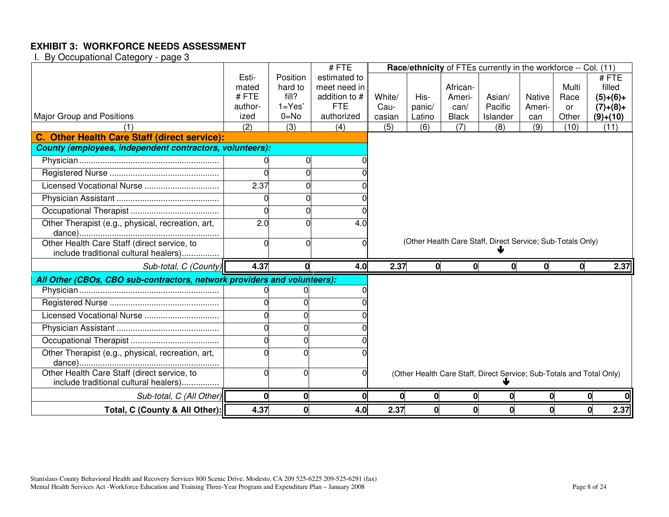|                                                                                      |          |              | #FTE          |        |          |              | Race/ethnicity of FTEs currently in the workforce -- Col. (11)       |        |       |            |
|--------------------------------------------------------------------------------------|----------|--------------|---------------|--------|----------|--------------|----------------------------------------------------------------------|--------|-------|------------|
|                                                                                      | Esti-    | Position     | estimated to  |        |          |              |                                                                      |        |       | #FTE       |
|                                                                                      | mated    | hard to      | meet need in  |        |          | African-     |                                                                      |        | Multi | filled     |
|                                                                                      | #FTE     | fill?        | addition to # | White/ | His-     | Ameri-       | Asian/                                                               | Native | Race  | $(5)+(6)+$ |
|                                                                                      | author-  | $1 = Yes'$   | <b>FTE</b>    | Cau-   | panic/   | can/         | Pacific                                                              | Ameri- | or    | $(7)+(8)+$ |
| <b>Major Group and Positions</b>                                                     | ized     | $0 = No$     | authorized    | casian | Latino   | <b>Black</b> | Islander                                                             | can    | Other | $(9)+(10)$ |
| C. Other Health Care Staff (direct service):                                         | (2)      | (3)          | (4)           | (5)    | (6)      | (7)          | (8)                                                                  | (9)    | (10)  | (11)       |
| County (employees, independent contractors, volunteers):                             |          |              |               |        |          |              |                                                                      |        |       |            |
|                                                                                      | 0        | 0            |               |        |          |              |                                                                      |        |       |            |
|                                                                                      |          |              |               |        |          |              |                                                                      |        |       |            |
|                                                                                      |          |              |               |        |          |              |                                                                      |        |       |            |
|                                                                                      | 2.37     |              |               |        |          |              |                                                                      |        |       |            |
|                                                                                      |          |              |               |        |          |              |                                                                      |        |       |            |
|                                                                                      |          |              |               |        |          |              |                                                                      |        |       |            |
| Other Therapist (e.g., physical, recreation, art,                                    | 2.0      |              | 4.0           |        |          |              |                                                                      |        |       |            |
|                                                                                      |          |              |               |        |          |              | (Other Health Care Staff, Direct Service; Sub-Totals Only)           |        |       |            |
| Other Health Care Staff (direct service, to                                          | ∩        |              |               |        |          |              |                                                                      |        |       |            |
| include traditional cultural healers)                                                |          |              |               |        |          |              |                                                                      |        |       |            |
| Sub-total, C (County)                                                                | 4.37     | <sup>n</sup> | 4.0           | 2.37   | $\Omega$ |              |                                                                      |        | 0     | 2.37       |
| All Other (CBOs, CBO sub-contractors, network providers and volunteers):             |          |              |               |        |          |              |                                                                      |        |       |            |
|                                                                                      |          |              |               |        |          |              |                                                                      |        |       |            |
|                                                                                      |          |              |               |        |          |              |                                                                      |        |       |            |
|                                                                                      |          |              |               |        |          |              |                                                                      |        |       |            |
|                                                                                      |          |              |               |        |          |              |                                                                      |        |       |            |
|                                                                                      |          |              |               |        |          |              |                                                                      |        |       |            |
| Other Therapist (e.g., physical, recreation, art,                                    |          |              |               |        |          |              |                                                                      |        |       |            |
| Other Health Care Staff (direct service, to<br>include traditional cultural healers) | $\Omega$ | r            |               |        |          |              | (Other Health Care Staff, Direct Service; Sub-Totals and Total Only) |        |       |            |
| Sub-total, C (All Other)                                                             | $\bf{0}$ | 0            |               |        | 0        |              |                                                                      |        |       |            |
|                                                                                      |          |              |               |        |          |              |                                                                      |        |       |            |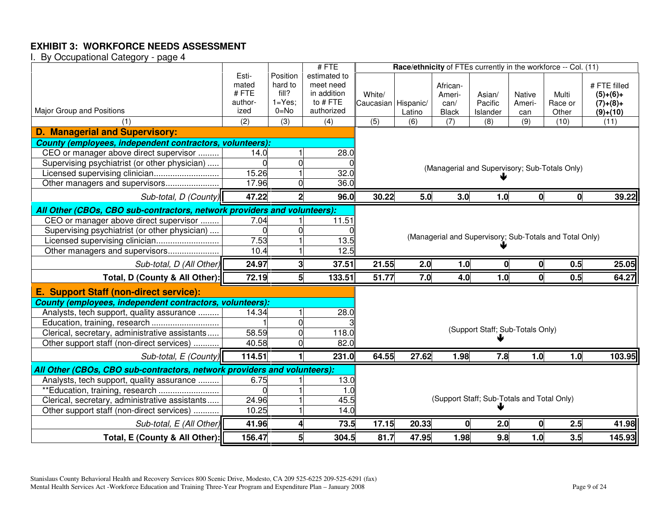|                                                                          |                 |                         | #FTE                    | Race/ethnicity of FTEs currently in the workforce -- Col. (11) |        |                      |                                                         |                  |                  |                          |
|--------------------------------------------------------------------------|-----------------|-------------------------|-------------------------|----------------------------------------------------------------|--------|----------------------|---------------------------------------------------------|------------------|------------------|--------------------------|
|                                                                          | Esti-           | Position                | estimated to            |                                                                |        |                      |                                                         |                  |                  |                          |
|                                                                          | mated           | hard to                 | meet need               |                                                                |        | African-             |                                                         |                  |                  | # FTE filled             |
|                                                                          | #FTE<br>author- | fill?<br>$1 = Yes$ ;    | in addition<br>to # FTE | White/                                                         |        | Ameri-               | Asian/                                                  | <b>Native</b>    | Multi            | $(5)+(6)+$               |
| Major Group and Positions                                                | ized            | $0 = No$                | authorized              | Caucasian Hispanic/                                            | Latino | can/<br><b>Black</b> | Pacific<br>Islander                                     | Ameri-<br>can    | Race or<br>Other | $(7)+(8)+$<br>$(9)+(10)$ |
|                                                                          | (2)             | $\overline{3)}$         | (4)                     | $\overline{(5)}$                                               | (6)    | $\overline{(7)}$     | (8)                                                     | $\overline{(9)}$ | (10)             | (11)                     |
| <b>D. Managerial and Supervisory:</b>                                    |                 |                         |                         |                                                                |        |                      |                                                         |                  |                  |                          |
| County (employees, independent contractors, volunteers):                 |                 |                         |                         |                                                                |        |                      |                                                         |                  |                  |                          |
| CEO or manager above direct supervisor                                   | 14.0            |                         | 28.0                    |                                                                |        |                      |                                                         |                  |                  |                          |
| Supervising psychiatrist (or other physician)                            |                 | $\overline{0}$          |                         |                                                                |        |                      | (Managerial and Supervisory; Sub-Totals Only)           |                  |                  |                          |
| Licensed supervising clinician                                           | 15.26           |                         | 32.0                    |                                                                |        |                      |                                                         |                  |                  |                          |
| Other managers and supervisors                                           | 17.96           |                         | 36.0                    |                                                                |        |                      |                                                         |                  |                  |                          |
| Sub-total, D (County)                                                    | 47.22           | $\overline{2}$          | 96.0                    | 30.22                                                          | 5.0    | 3.0                  | 1.0                                                     | 0                | 0                | 39.22                    |
| All Other (CBOs, CBO sub-contractors, network providers and volunteers): |                 |                         |                         |                                                                |        |                      |                                                         |                  |                  |                          |
| CEO or manager above direct supervisor                                   | 7.04            |                         | 11.51                   |                                                                |        |                      |                                                         |                  |                  |                          |
| Supervising psychiatrist (or other physician)                            |                 |                         |                         |                                                                |        |                      |                                                         |                  |                  |                          |
| Licensed supervising clinician                                           | 7.53            |                         | 13.5                    |                                                                |        |                      | (Managerial and Supervisory; Sub-Totals and Total Only) |                  |                  |                          |
| Other managers and supervisors                                           | 10.4            |                         | 12.5                    |                                                                |        |                      |                                                         |                  |                  |                          |
| Sub-total, D (All Other)                                                 | 24.97           | $\overline{\mathbf{3}}$ | 37.51                   | 21.55                                                          | 2.0    | 1.0                  | $\mathbf 0$                                             | 0                | 0.5              | 25.05                    |
| Total, D (County & All Other):                                           | 72.19           | 5                       | 133.51                  | 51.77                                                          | 7.0    | 4.0                  | 1.0                                                     | $\mathbf 0$      | 0.5              | 64.27                    |
| E. Support Staff (non-direct service):                                   |                 |                         |                         |                                                                |        |                      |                                                         |                  |                  |                          |
| County (employees, independent contractors, volunteers):                 |                 |                         |                         |                                                                |        |                      |                                                         |                  |                  |                          |
| Analysts, tech support, quality assurance                                | 14.34           | $\mathbf{1}$            | 28.0                    |                                                                |        |                      |                                                         |                  |                  |                          |
| Education, training, research                                            |                 | $\overline{0}$          |                         |                                                                |        |                      |                                                         |                  |                  |                          |
| Clerical, secretary, administrative assistants                           | 58.59           | $\overline{0}$          | 118.0                   |                                                                |        |                      | (Support Staff; Sub-Totals Only)                        |                  |                  |                          |
| Other support staff (non-direct services)                                | 40.58           | $\Omega$                | 82.0                    |                                                                |        |                      |                                                         |                  |                  |                          |
| Sub-total, E (County)                                                    | 114.51          |                         | 231.0                   | 64.55                                                          | 27.62  | 1.98                 | 7.8                                                     | 1.0              | 1.0              | 103.95                   |
| All Other (CBOs, CBO sub-contractors, network providers and volunteers): |                 |                         |                         |                                                                |        |                      |                                                         |                  |                  |                          |
| Analysts, tech support, quality assurance                                | 6.75            |                         | 13.0                    |                                                                |        |                      |                                                         |                  |                  |                          |
| **Education, training, research                                          |                 |                         | 1.0                     |                                                                |        |                      |                                                         |                  |                  |                          |
| Clerical, secretary, administrative assistants                           | 24.96           |                         | 45.5                    |                                                                |        |                      | (Support Staff; Sub-Totals and Total Only)              |                  |                  |                          |
| Other support staff (non-direct services)                                | 10.25           |                         | 14.0                    |                                                                |        |                      |                                                         |                  |                  |                          |
| Sub-total, E (All Other)                                                 | 41.96           | 4                       | 73.5                    | 17.15                                                          | 20.33  |                      | 2.0                                                     | 0                | 2.5              | 41.98                    |
| Total, E (County & All Other):                                           | 156.47          | 5                       | 304.5                   | 81.7                                                           | 47.95  | 1.98                 | 9.8                                                     | 1.0              | 3.5              | 145.93                   |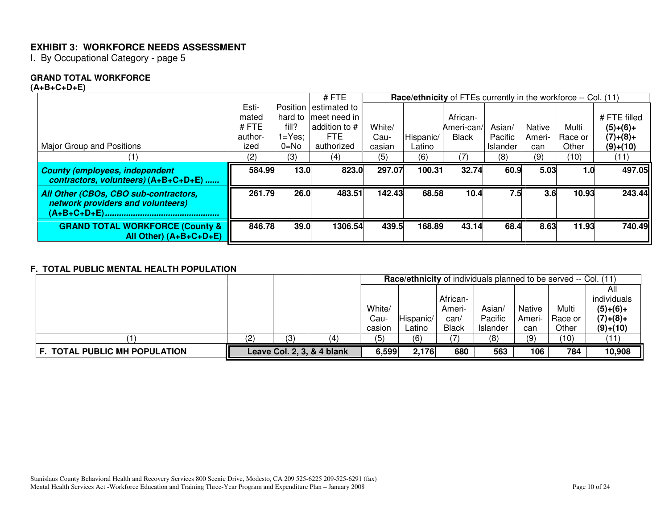I. By Occupational Category - page 5

#### **GRAND TOTAL WORKFORCE**

#### **(A+B+C+D+E)**

|                                                                               |         |          | $#$ FTE               |        |           |              | Race/ethnicity of FTEs currently in the workforce -- Col. (11) |               |         |              |
|-------------------------------------------------------------------------------|---------|----------|-----------------------|--------|-----------|--------------|----------------------------------------------------------------|---------------|---------|--------------|
|                                                                               | Esti-   |          | Position estimated to |        |           |              |                                                                |               |         |              |
|                                                                               | mated   | hard to  | Imeet need in I       |        |           | African-     |                                                                |               |         | # FTE filled |
|                                                                               | #FTE    | fill?    | addition to #         | White/ |           | Ameri-can/   | Asian/                                                         | <b>Native</b> | Multi   | $(5)+(6)+$   |
|                                                                               | author- | 1=Yes:   | FTE.                  | Cau-   | Hispanic/ | <b>Black</b> | Pacific                                                        | Ameri-        | Race or | $(7)+(8)+$   |
| Major Group and Positions                                                     | ized    | $0 = No$ | authorized            | casian | Latino    |              | Islander                                                       | can           | Other   | $(9)+(10)$   |
|                                                                               | (2)     | (3)      | (4)                   | (5)    | (6)       | 7)           | (8)                                                            | (9)           | (10)    | (11)         |
|                                                                               |         |          |                       |        |           |              |                                                                |               |         |              |
| <b>County (employees, independent</b><br>contractors, volunteers) (A+B+C+D+E) | 584.99  | 13.0     | 823.0                 | 297.07 | 100.31    | 32.74        | 60.9                                                           | 5.03          | 1.0     | 497.05       |
| All Other (CBOs, CBO sub-contractors,<br>network providers and volunteers)    | 261.79  | 26.0     | 483.51                | 142.43 | 68.58     | 10.4         | 7.5                                                            | 3.6           | 10.93   | 243.44       |
| $(A+B+C+D+E)$                                                                 |         |          |                       |        |           |              |                                                                |               |         |              |

#### **F. TOTAL PUBLIC MENTAL HEALTH POPULATION**

|                               |     |     |                            |        |           |              | Race/ethnicity of individuals planned to be served -- Col. (11) |        |         |             |
|-------------------------------|-----|-----|----------------------------|--------|-----------|--------------|-----------------------------------------------------------------|--------|---------|-------------|
|                               |     |     |                            |        |           |              |                                                                 |        |         | All         |
|                               |     |     |                            |        |           | African-     |                                                                 |        |         | individuals |
|                               |     |     |                            | White/ |           | Ameri-       | Asian/                                                          | Native | Multi   | $(5)+(6)+$  |
|                               |     |     |                            | Cau-   | Hispanic/ | can/         | Pacific                                                         | Ameri- | Race or | $(7)+(8)+$  |
|                               |     |     |                            | casion | Latino    | <b>Black</b> | Islander                                                        | can    | Other   | $(9)+(10)$  |
|                               | (2) | (3) | (4                         | (5)    | (6)       |              | (8)                                                             | (9)    | (10)    | (11)        |
| F. TOTAL PUBLIC MH POPULATION |     |     | Leave Col. 2, 3, & 4 blank | 6,599  | 2,176     | 680          | 563                                                             | 106    | 784     | 10,908      |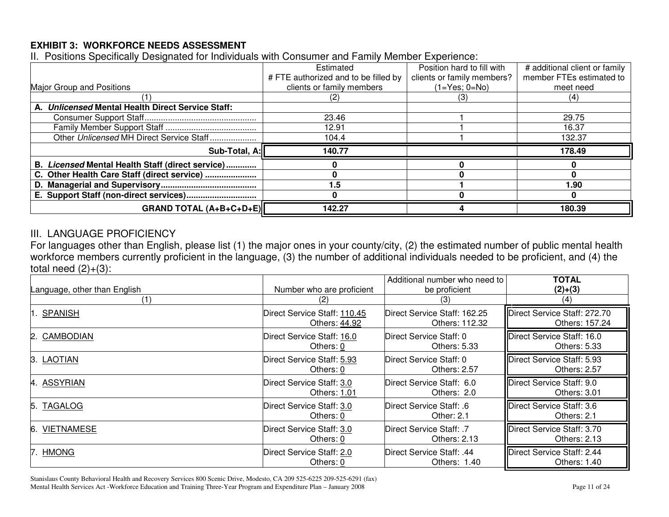II. Positions Specifically Designated for Individuals with Consumer and Family Member Experience:

|                                                   | Estimated                            | Position hard to fill with | # additional client or family |
|---------------------------------------------------|--------------------------------------|----------------------------|-------------------------------|
|                                                   | # FTE authorized and to be filled by | clients or family members? | member FTEs estimated to      |
| Major Group and Positions                         | clients or family members            | $(1 = Yes; 0 = No)$        | meet need                     |
|                                                   |                                      | ات ا                       | (4)                           |
| A. Unlicensed Mental Health Direct Service Staff: |                                      |                            |                               |
|                                                   | 23.46                                |                            | 29.75                         |
|                                                   | 12.91                                |                            | 16.37                         |
| Other Unlicensed MH Direct Service Staff          | 104.4                                |                            | 132.37                        |
| Sub-Total, A:                                     | 140.77                               |                            | 178.49                        |
| B. Licensed Mental Health Staff (direct service)  |                                      |                            |                               |
| C. Other Health Care Staff (direct service)       |                                      |                            |                               |
|                                                   | .5                                   |                            | 1.90                          |
| E. Support Staff (non-direct services)            |                                      |                            |                               |
| <b>GRAND TOTAL (A+B+C+D+E)  </b>                  | 142.27                               |                            | 180.39                        |

## III. LANGUAGE PROFICIENCY

For languages other than English, please list (1) the major ones in your county/city, (2) the estimated number of public mental health workforce members currently proficient in the language, (3) the number of additional individuals needed to be proficient, and (4) the total need (2)+(3):

| Language, other than English | Number who are proficient    | Additional number who need to<br>be proficient | <b>TOTAL</b><br>$(2)+(3)$    |
|------------------------------|------------------------------|------------------------------------------------|------------------------------|
| (1)                          | (2)                          | (3)                                            | $\left(4\right)$             |
| <b>SPANISH</b>               | Direct Service Staff: 110.45 | Direct Service Staff: 162.25                   | Direct Service Staff: 272.70 |
|                              | Others: 44.92                | Others: 112.32                                 | Others: 157.24               |
| CAMBODIAN                    | Direct Service Staff: 16.0   | Direct Service Staff: 0                        | Direct Service Staff: 16.0   |
| 2                            | Others: 0                    | Others: 5.33                                   | Others: 5.33                 |
| LAOTIAN                      | Direct Service Staff: 5.93   | Direct Service Staff: 0                        | Direct Service Staff: 5.93   |
| ß.                           | Others: 0                    | Others: 2.57                                   | Others: 2.57                 |
| <b>ASSYRIAN</b>              | Direct Service Staff: 3.0    | Direct Service Staff: 6.0                      | Direct Service Staff: 9.0    |
| 14                           | Others: 1.01                 | Others: 2.0                                    | Others: 3.01                 |
| <b>TAGALOG</b>               | Direct Service Staff: 3.0    | Direct Service Staff: .6                       | Direct Service Staff: 3.6    |
| 15.                          | Others: 0                    | Other: 2.1                                     | Others: 2.1                  |
| <b>VIETNAMESE</b>            | Direct Service Staff: 3.0    | Direct Service Staff: .7                       | Direct Service Staff: 3.70   |
| 6.                           | Others: 0                    | Others: 2.13                                   | Others: 2.13                 |
| <b>HMONG</b>                 | Direct Service Staff: 2.0    | Direct Service Staff: .44                      | Direct Service Staff: 2.44   |
|                              | Others: 0                    | Others: 1.40                                   | Others: 1.40                 |

Stanislaus County Behavioral Health and Recovery Services 800 Scenic Drive, Modesto, CA 209 525-6225 209-525-6291 (fax) Mental Health Services Act -Workforce Education and Training Three-Year Program and Expenditure Plan – January 2008 Page 11 of 24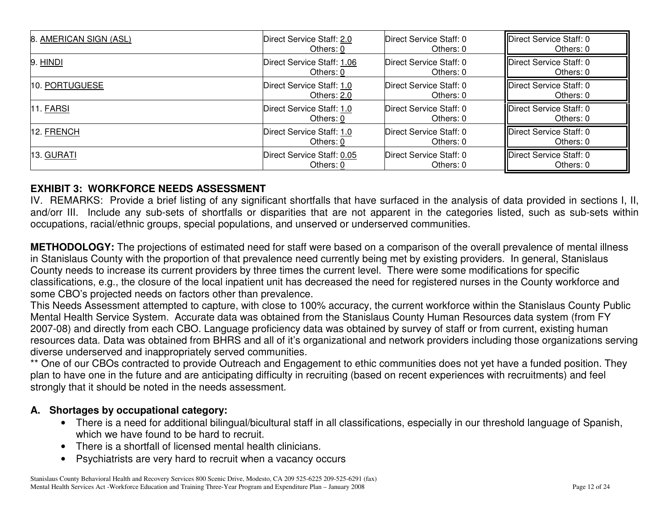| 8. AMERICAN SIGN (ASL) | Direct Service Staff: 2.0  | Direct Service Staff: 0 | Direct Service Staff: 0 |
|------------------------|----------------------------|-------------------------|-------------------------|
|                        | Others: 0                  | Others: 0               | Others: 0               |
| 9. HINDI               | Direct Service Staff: 1.06 | Direct Service Staff: 0 | Direct Service Staff: 0 |
|                        | Others: 0                  | Others: 0               | Others: 0               |
| 10. PORTUGUESE         | Direct Service Staff: 1.0  | Direct Service Staff: 0 | Direct Service Staff: 0 |
|                        | Others: 2.0                | Others: 0               | Others: 0               |
| $11.$ FARSI            | Direct Service Staff: 1.0  | Direct Service Staff: 0 | Direct Service Staff: 0 |
|                        | Others: 0                  | Others: 0               | Others: 0               |
| 12. FRENCH             | Direct Service Staff: 1.0  | Direct Service Staff: 0 | Direct Service Staff: 0 |
|                        | Others: 0                  | Others: 0               | Others: 0               |
| 13. GURATI             | Direct Service Staff: 0.05 | Direct Service Staff: 0 | Direct Service Staff: 0 |
|                        | Others: 0                  | Others: 0               | Others: 0               |

IV. REMARKS: Provide <sup>a</sup> brief listing of any significant shortfalls that have surfaced in the analysis of data provided in sections I, II, and/orr III. Include any sub-sets of shortfalls or disparities that are not apparent in the categories listed, such as sub-sets within occupations, racial/ethnic groups, special populations, and unserved or underserved communities.

**METHODOLOGY:** The projections of estimated need for staff were based on <sup>a</sup> comparison of the overall prevalence of mental illness in Stanislaus County with the proportion of that prevalence need currently being met by existing providers. In general, Stanislaus County needs to increase its current providers by three times the current level. There were some modifications for specific classifications, e.g., the closure of the local inpatient unit has decreased the need for registered nurses in the County workforce and some CBO's projected needs on factors other than prevalence.

This Needs Assessment attempted to capture, with close to 100% accuracy, the current workforce within the Stanislaus County Public Mental Health Service System. Accurate data was obtained from the Stanislaus County Human Resources data system (from FY 2007-08) and directly from each CBO. Language proficiency data was obtained by survey of staff or from current, existing human resources data. Data was obtained from BHRS and all of it's organizational and network providers including those organizations serving diverse underserved and inappropriately served communities.

\*\* One of our CBOs contracted to provide Outreach and Engagement to ethic communities does not yet have <sup>a</sup> funded position. They plan to have one in the future and are anticipating difficulty in recruiting (based on recent experiences with recruitments) and feel strongly that it should be noted in the needs assessment.

## **A. Shortages by occupational category:**

- There is <sup>a</sup> need for additional bilingual/bicultural staff in all classifications, especially in our threshold language of Spanish, which we have found to be hard to recruit.
- There is a shortfall of licensed mental health clinicians.
- Psychiatrists are very hard to recruit when <sup>a</sup> vacancy occurs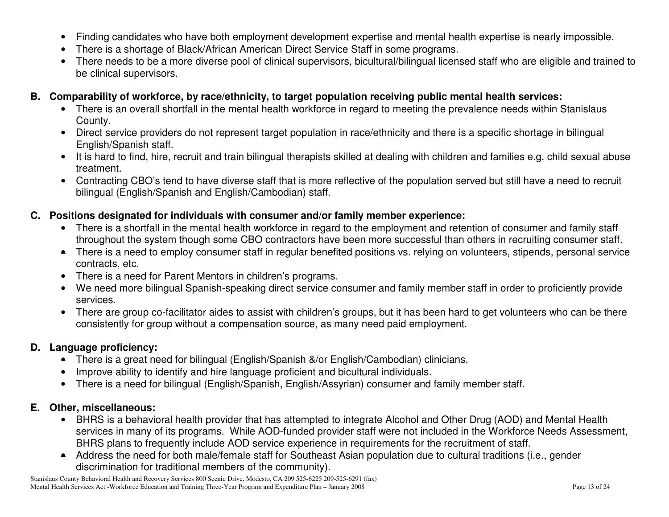- •Finding candidates who have both employment development expertise and mental health expertise is nearly impossible.
- •There is <sup>a</sup> shortage of Black/African American Direct Service Staff in some programs.
- • There needs to be <sup>a</sup> more diverse pool of clinical supervisors, bicultural/bilingual licensed staff who are eligible and trained to be clinical supervisors.
- **B. Comparability of workforce, by race/ethnicity, to target population receiving public mental health services:**
	- There is an overall shortfall in the mental health workforce in regard to meeting the prevalence needs within Stanislaus County.
	- Direct service providers do not represent target population in race/ethnicity and there is <sup>a</sup> specific shortage in bilingual English/Spanish staff.
	- It is hard to find, hire, recruit and train bilingual therapists skilled at dealing with children and families e.g. child sexual abuse treatment.
	- Contracting CBO's tend to have diverse staff that is more reflective of the population served but still have <sup>a</sup> need to recruit bilingual (English/Spanish and English/Cambodian) staff.

## **C. Positions designated for individuals with consumer and/or family member experience:**

- There is <sup>a</sup> shortfall in the mental health workforce in regard to the employment and retention of consumer and family staff throughout the system though some CBO contractors have been more successful than others in recruiting consumer staff.
- There is <sup>a</sup> need to employ consumer staff in regular benefited positions vs. relying on volunteers, stipends, personal service contracts, etc.
- There is <sup>a</sup> need for Parent Mentors in children's programs.
- We need more bilingual Spanish-speaking direct service consumer and family member staff in order to proficiently provide services.
- There are group co-facilitator aides to assist with children's groups, but it has been hard to get volunteers who can be there consistently for group without <sup>a</sup> compensation source, as many need paid employment.

## **D. Language proficiency:**

- There is <sup>a</sup> great need for bilingual (English/Spanish &/or English/Cambodian) clinicians.
- •Improve ability to identify and hire language proficient and bicultural individuals.
- There is <sup>a</sup> need for bilingual (English/Spanish, English/Assyrian) consumer and family member staff.

## **E. Other, miscellaneous:**

- BHRS is <sup>a</sup> behavioral health provider that has attempted to integrate Alcohol and Other Drug (AOD) and Mental Health services in many of its programs. While AOD-funded provider staff were not included in the Workforce Needs Assessment, BHRS plans to frequently include AOD service experience in requirements for the recruitment of staff.
- Address the need for both male/female staff for Southeast Asian population due to cultural traditions (i.e., gender discrimination for traditional members of the community).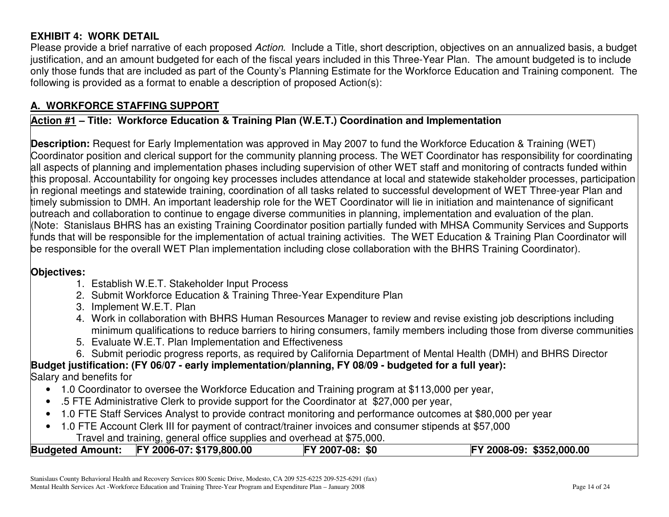# **EXHIBIT 4: WORK DETAIL**

Please provide <sup>a</sup> brief narrative of each proposed *Action*. Include <sup>a</sup> Title, short description, objectives on an annualized basis, <sup>a</sup> budget justification, and an amount budgeted for each of the fiscal years included in this Three-Year Plan. The amount budgeted is to include only those funds that are included as part of the County's Planning Estimate for the Workforce Education and Training component. The following is provided as <sup>a</sup> format to enable <sup>a</sup> description of proposed Action(s):

# **A. WORKFORCE STAFFING SUPPORT**

## **Action #1 – Title: Workforce Education & Training Plan (W.E.T.) Coordination and Implementation**

**Description:** Request for Early Implementation was approved in May 2007 to fund the Workforce Education & Training (WET) Coordinator position and clerical support for the community planning process. The WET Coordinator has responsibility for coordinating all aspects of planning and implementation phases including supervision of other WET staff and monitoring of contracts funded within this proposal. Accountability for ongoing key processes includes attendance at local and statewide stakeholder processes, participation in regional meetings and statewide training, coordination of all tasks related to successful development of WET Three-year Plan and timely submission to DMH. An important leadership role for the WET Coordinator will lie in initiation and maintenance of significant outreach and collaboration to continue to engage diverse communities in planning, implementation and evaluation of the plan. (Note: Stanislaus BHRS has an existing Training Coordinator position partially funded with MHSA Community Services and Supports funds that will be responsible for the implementation of actual training activities. The WET Education & Training Plan Coordinator will be responsible for the overall WET Plan implementation including close collaboration with the BHRS Training Coordinator).

#### **Objectives:**

- 1. Establish W.E.T. Stakeholder Input Process
- 2. Submit Workforce Education & Training Three-Year Expenditure Plan
- 3. Implement W.E.T. Plan
- 4. Work in collaboration with BHRS Human Resources Manager to review and revise existing job descriptions including minimum qualifications to reduce barriers to hiring consumers, family members including those from diverse communities
- 5. Evaluate W.E.T. Plan Implementation and Effectiveness
- 6. Submit periodic progress reports, as required by California Department of Mental Health (DMH) and BHRS Director

**Budget justification: (FY 06/07 - early implementation/planning, FY 08/09 - budgeted for <sup>a</sup> full year):** Salary and benefits for

- 1.0 Coordinator to oversee the Workforce Education and Training program at \$113,000 per year,
- .5 FTE Administrative Clerk to provide support for the Coordinator at \$27,000 per year,
- 1.0 FTE Staff Services Analyst to provide contract monitoring and performance outcomes at \$80,000 per year
- 1.0 FTE Account Clerk III for payment of contract/trainer invoices and consumer stipends at \$57,000 Travel and training, general office supplies and overhead at \$75,000.

| <b>Budgeted Amount:</b> | FY 2006-07: \$179,800.00 | <b>FY 2007-08:</b><br>\$0 | FY 2008-09: \$352,000.00 |
|-------------------------|--------------------------|---------------------------|--------------------------|
|                         |                          |                           |                          |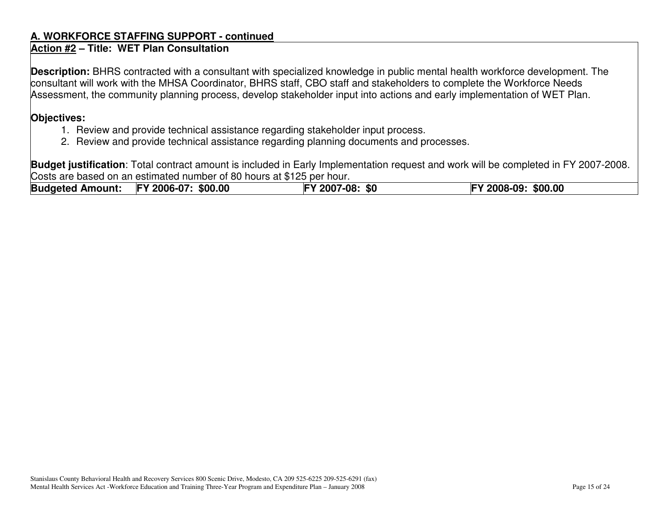#### **A. WORKFORCE STAFFING SUPPORT - continued**

#### **Action #2 – Title: WET Plan Consultation**

**Description:** BHRS contracted with <sup>a</sup> consultant with specialized knowledge in public mental health workforce development. The consultant will work with the MHSA Coordinator, BHRS staff, CBO staff and stakeholders to complete the Workforce Needs Assessment, the community planning process, develop stakeholder input into actions and early implementation of WET Plan.

#### **Objectives:**

- 1. Review and provide technical assistance regarding stakeholder input process.
- 2. Review and provide technical assistance regarding planning documents and processes.

**Budget justification**: Total contract amount is included in Early Implementation request and work will be completed in FY 2007-2008. Costs are based on an estimated number of 80 hours at \$125 per hour.

**Budgeted Amount: FY 2006-07: \$00.00 FY 2007-08: \$0 FY 2008-09: \$00.00**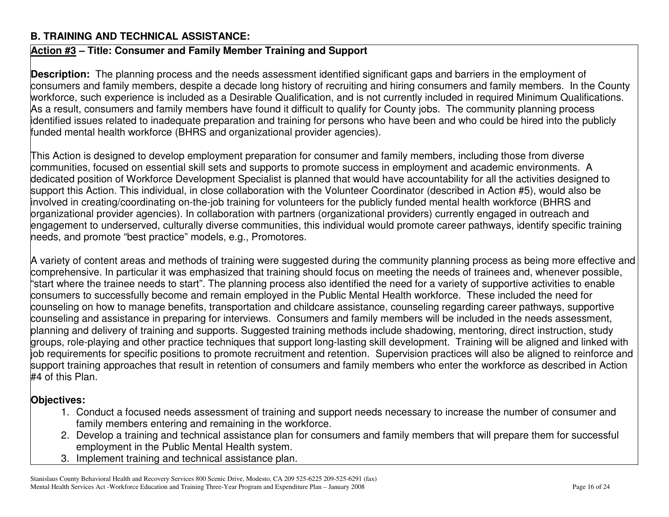## **B. TRAINING AND TECHNICAL ASSISTANCE:**

# **Action #3 – Title: Consumer and Family Member Training and Support**

**Description:** The planning process and the needs assessment identified significant gaps and barriers in the employment of consumers and family members, despite <sup>a</sup> decade long history of recruiting and hiring consumers and family members. In the County workforce, such experience is included as <sup>a</sup> Desirable Qualification, and is not currently included in required Minimum Qualifications. As a result, consumers and family members have found it difficult to qualify for County jobs. The community planning process identified issues related to inadequate preparation and training for persons who have been and who could be hired into the publicly funded mental health workforce (BHRS and organizational provider agencies).

This Action is designed to develop employment preparation for consumer and family members, including those from diverse communities, focused on essential skill sets and supports to promote success in employment and academic environments. A dedicated position of Workforce Development Specialist is planned that would have accountability for all the activities designed to support this Action. This individual, in close collaboration with the Volunteer Coordinator (described in Action #5), would also be involved in creating/coordinating on-the-job training for volunteers for the publicly funded mental health workforce (BHRS and organizational provider agencies). In collaboration with partners (organizational providers) currently engaged in outreach and engagement to underserved, culturally diverse communities, this individual would promote career pathways, identify specific training needs, and promote "best practice" models, e.g., Promotores.

A variety of content areas and methods of training were suggested during the community planning process as being more effective and comprehensive. In particular it was emphasized that training should focus on meeting the needs of trainees and, whenever possible, "start where the trainee needs to start". The planning process also identified the need for <sup>a</sup> variety of supportive activities to enable consumers to successfully become and remain employed in the Public Mental Health workforce. These included the need for counseling on how to manage benefits, transportation and childcare assistance, counseling regarding career pathways, supportive counseling and assistance in preparing for interviews. Consumers and family members will be included in the needs assessment, planning and delivery of training and supports. Suggested training methods include shadowing, mentoring, direct instruction, study groups, role-playing and other practice techniques that support long-lasting skill development. Training will be aligned and linked with job requirements for specific positions to promote recruitment and retention. Supervision practices will also be aligned to reinforce and support training approaches that result in retention of consumers and family members who enter the workforce as described in Action #4 of this Plan.

## **Objectives:**

- 1. Conduct a focused needs assessment of training and support needs necessary to increase the number of consumer and family members entering and remaining in the workforce.
- 2. Develop <sup>a</sup> training and technical assistance plan for consumers and family members that will prepare them for successful employment in the Public Mental Health system.
- 3. Implement training and technical assistance plan.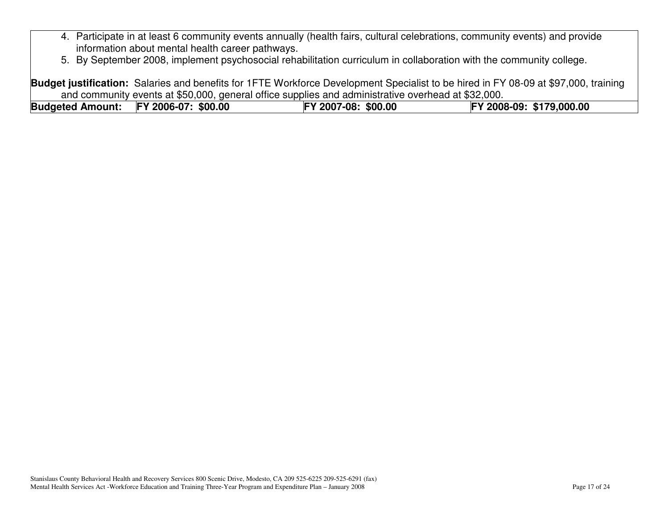- 4. Participate in at least 6 community events annually (health fairs, cultural celebrations, community events) and provide information about mental health career pathways.
- 5. By September 2008, implement psychosocial rehabilitation curriculum in collaboration with the community college.

**Budget justification:** Salaries and benefits for 1FTE Workforce Development Specialist to be hired in FY 08-09 at \$97,000, training and community events at \$50,000, general office supplies and administrative overhead at \$32,000.

| Budgeted Amount: FY 2006-07: \$00.00 | FY 2007-08: \$00.00 | FY 2008-09: \$179,000.00 |
|--------------------------------------|---------------------|--------------------------|
|                                      |                     |                          |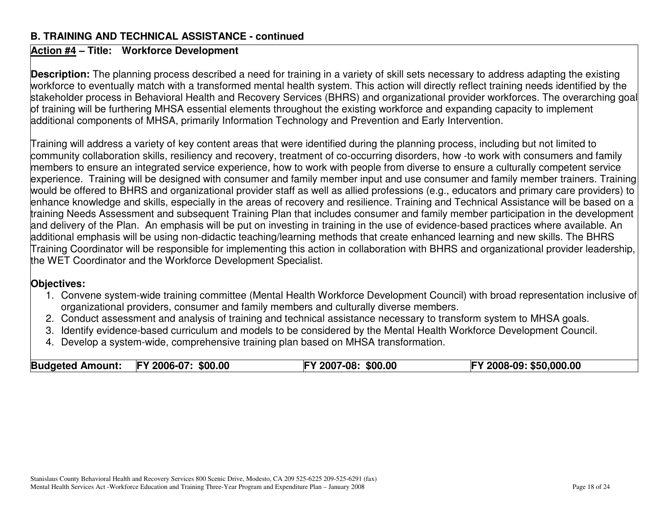#### **B. TRAINING AND TECHNICAL ASSISTANCE - continued**

### **Action #4 – Title: Workforce Development**

**Description:** The planning process described <sup>a</sup> need for training in <sup>a</sup> variety of skill sets necessary to address adapting the existing workforce to eventually match with <sup>a</sup> transformed mental health system. This action will directly reflect training needs identified by the stakeholder process in Behavioral Health and Recovery Services (BHRS) and organizational provider workforces. The overarching goal of training will be furthering MHSA essential elements throughout the existing workforce and expanding capacity to implement additional components of MHSA, primarily Information Technology and Prevention and Early Intervention.

Training will address <sup>a</sup> variety of key content areas that were identified during the planning process, including but not limited to community collaboration skills, resiliency and recovery, treatment of co-occurring disorders, how -to work with consumers and family members to ensure an integrated service experience, how to work with people from diverse to ensure <sup>a</sup> culturally competent service experience. Training will be designed with consumer and family member input and use consumer and family member trainers. Training would be offered to BHRS and organizational provider staff as well as allied professions (e.g., educators and primary care providers) to enhance knowledge and skills, especially in the areas of recovery and resilience. Training and Technical Assistance will be based on <sup>a</sup> training Needs Assessment and subsequent Training Plan that includes consumer and family member participation in the development and delivery of the Plan. An emphasis will be put on investing in training in the use of evidence-based practices where available. An additional emphasis will be using non-didactic teaching/learning methods that create enhanced learning and new skills. The BHRS Training Coordinator will be responsible for implementing this action in collaboration with BHRS and organizational provider leadership, the WET Coordinator and the Workforce Development Specialist.

#### **Objectives:**

- 1. Convene system-wide training committee (Mental Health Workforce Development Council) with broad representation inclusive of organizational providers, consumer and family members and culturally diverse members.
- 2. Conduct assessment and analysis of training and technical assistance necessary to transform system to MHSA goals.
- 3. Identify evidence-based curriculum and models to be considered by the Mental Health Workforce Development Council.
- 4. Develop <sup>a</sup> system-wide, comprehensive training plan based on MHSA transformation.

| <b>Budgeted Amount:</b> | <b>FY 2006-07:</b><br>\$00.00 | (2007)<br>\$00.00<br>$/ -08:$<br>IΕΥ | 2008-09: \$50,000.00 |
|-------------------------|-------------------------------|--------------------------------------|----------------------|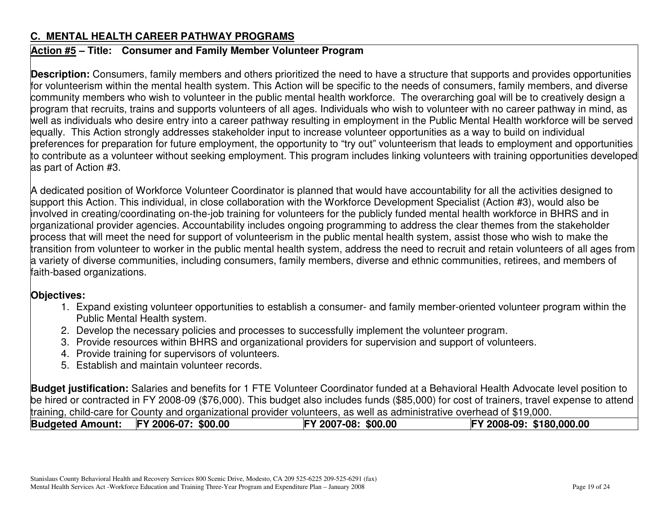# **C. MENTAL HEALTH CAREER PATHWAY PROGRAMS**

# **Action #5 – Title: Consumer and Family Member Volunteer Program**

**Description:** Consumers, family members and others prioritized the need to have <sup>a</sup> structure that supports and provides opportunities for volunteerism within the mental health system. This Action will be specific to the needs of consumers, family members, and diverse community members who wish to volunteer in the public mental health workforce. The overarching goal will be to creatively design <sup>a</sup> program that recruits, trains and supports volunteers of all ages. Individuals who wish to volunteer with no career pathway in mind, as well as individuals who desire entry into <sup>a</sup> career pathway resulting in employment in the Public Mental Health workforce will be served equally. This Action strongly addresses stakeholder input to increase volunteer opportunities as <sup>a</sup> way to build on individual preferences for preparation for future employment, the opportunity to "try out" volunteerism that leads to employment and opportunities to contribute as <sup>a</sup> volunteer without seeking employment. This program includes linking volunteers with training opportunities developed as part of Action #3.

A dedicated position of Workforce Volunteer Coordinator is planned that would have accountability for all the activities designed to support this Action. This individual, in close collaboration with the Workforce Development Specialist (Action #3), would also be involved in creating/coordinating on-the-job training for volunteers for the publicly funded mental health workforce in BHRS and in organizational provider agencies. Accountability includes ongoing programming to address the clear themes from the stakeholder process that will meet the need for support of volunteerism in the public mental health system, assist those who wish to make the transition from volunteer to worker in the public mental health system, address the need to recruit and retain volunteers of all ages from a variety of diverse communities, including consumers, family members, diverse and ethnic communities, retirees, and members of faith-based organizations.

# **Objectives:**

- 1. Expand existing volunteer opportunities to establish <sup>a</sup> consumer- and family member-oriented volunteer program within the Public Mental Health system.
- 2. Develop the necessary policies and processes to successfully implement the volunteer program.
- 3. Provide resources within BHRS and organizational providers for supervision and support of volunteers.
- 4. Provide training for supervisors of volunteers.
- 5. Establish and maintain volunteer records.

**Budget justification:** Salaries and benefits for 1 FTE Volunteer Coordinator funded at <sup>a</sup> Behavioral Health Advocate level position to be hired or contracted in FY 2008-09 (\$76,000). This budget also includes funds (\$85,000) for cost of trainers, travel expense to attend training, child-care for County and organizational provider volunteers, as well as administrative overhead of \$19,000.

| <b>Budgeted Amount:</b> | FY 2006-07: \$00.00 | FY 2007-08: \$00.00 | FY 2008-09: \$180,000.00 |
|-------------------------|---------------------|---------------------|--------------------------|
|                         |                     |                     |                          |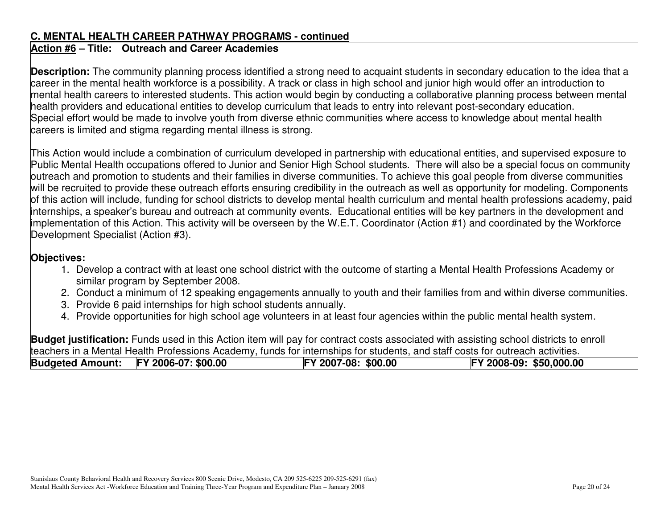#### **C. MENTAL HEALTH CAREER PATHWAY PROGRAMS - continued**

# **Action #6 – Title: Outreach and Career Academies**

**Description:** The community planning process identified <sup>a</sup> strong need to acquaint students in secondary education to the idea that <sup>a</sup> career in the mental health workforce is <sup>a</sup> possibility. A track or class in high school and junior high would offer an introduction to mental health careers to interested students. This action would begin by conducting <sup>a</sup> collaborative planning process between mental health providers and educational entities to develop curriculum that leads to entry into relevant post-secondary education. Special effort would be made to involve youth from diverse ethnic communities where access to knowledge about mental health careers is limited and stigma regarding mental illness is strong.

This Action would include a combination of curriculum developed in partnership with educational entities, and supervised exposure to Public Mental Health occupations offered to Junior and Senior High School students. There will also be <sup>a</sup> special focus on community outreach and promotion to students and their families in diverse communities. To achieve this goal people from diverse communities will be recruited to provide these outreach efforts ensuring credibility in the outreach as well as opportunity for modeling. Components of this action will include, funding for school districts to develop mental health curriculum and mental health professions academy, paid internships, <sup>a</sup> speaker's bureau and outreach at community events. Educational entities will be key partners in the development and implementation of this Action. This activity will be overseen by the W.E.T. Coordinator (Action #1) and coordinated by the Workforce Development Specialist (Action #3).

# **Objectives:**

- 1. Develop <sup>a</sup> contract with at least one school district with the outcome of starting <sup>a</sup> Mental Health Professions Academy or similar program by September 2008.
- 2. Conduct a minimum of 12 speaking engagements annually to youth and their families from and within diverse communities.
- 3. Provide 6 paid internships for high school students annually.
- 4. Provide opportunities for high school age volunteers in at least four agencies within the public mental health system.

**Budget justification:** Funds used in this Action item will pay for contract costs associated with assisting school districts to enroll teachers in <sup>a</sup> Mental Health Professions Academy, funds for internships for students, and staff costs for outreach activities.

| <b>Budgeted Amount:</b> | FY 2006-07: \$00.00 | FY 2007-08: \$00.00 | FY 2008-09: \$50,000.00 |
|-------------------------|---------------------|---------------------|-------------------------|
|                         |                     |                     |                         |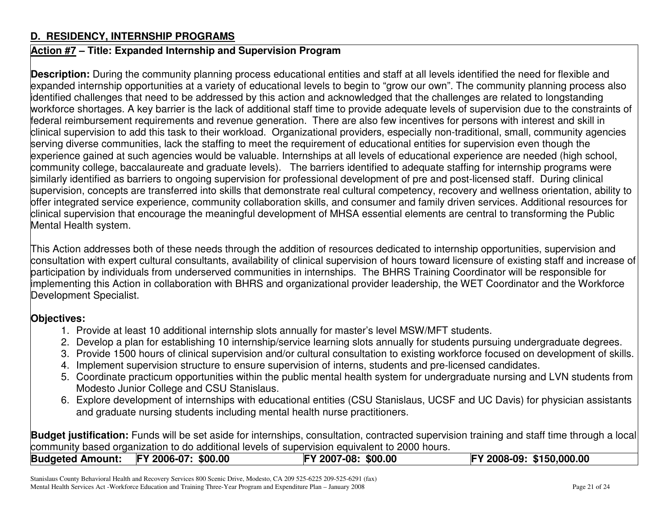#### **D. RESIDENCY, INTERNSHIP PROGRAMS**

#### **Action #7 – Title: Expanded Internship and Supervision Program**

**Description:** During the community planning process educational entities and staff at all levels identified the need for flexible and expanded internship opportunities at <sup>a</sup> variety of educational levels to begin to "grow our own". The community planning process also identified challenges that need to be addressed by this action and acknowledged that the challenges are related to longstanding workforce shortages. A key barrier is the lack of additional staff time to provide adequate levels of supervision due to the constraints of federal reimbursement requirements and revenue generation. There are also few incentives for persons with interest and skill in clinical supervision to add this task to their workload. Organizational providers, especially non-traditional, small, community agencies serving diverse communities, lack the staffing to meet the requirement of educational entities for supervision even though the experience gained at such agencies would be valuable. Internships at all levels of educational experience are needed (high school, community college, baccalaureate and graduate levels). The barriers identified to adequate staffing for internship programs were similarly identified as barriers to ongoing supervision for professional development of pre and post-licensed staff. During clinical supervision, concepts are transferred into skills that demonstrate real cultural competency, recovery and wellness orientation, ability to offer integrated service experience, community collaboration skills, and consumer and family driven services. Additional resources for clinical supervision that encourage the meaningful development of MHSA essential elements are central to transforming the Public Mental Health system.

This Action addresses both of these needs through the addition of resources dedicated to internship opportunities, supervision and consultation with expert cultural consultants, availability of clinical supervision of hours toward licensure of existing staff and increase of participation by individuals from underserved communities in internships. The BHRS Training Coordinator will be responsible for implementing this Action in collaboration with BHRS and organizational provider leadership, the WET Coordinator and the Workforce Development Specialist.

#### **Objectives:**

- 1. Provide at least 10 additional internship slots annually for master's level MSW/MFT students.
- 2. Develop <sup>a</sup> plan for establishing 10 internship/service learning slots annually for students pursuing undergraduate degrees.
- 3. Provide 1500 hours of clinical supervision and/or cultural consultation to existing workforce focused on development of skills.
- 4. Implement supervision structure to ensure supervision of interns, students and pre-licensed candidates.
- 5. Coordinate practicum opportunities within the public mental health system for undergraduate nursing and LVN students from Modesto Junior College and CSU Stanislaus.
- 6. Explore development of internships with educational entities (CSU Stanislaus, UCSF and UC Davis) for physician assistants and graduate nursing students including mental health nurse practitioners.

**Budget justification:** Funds will be set aside for internships, consultation, contracted supervision training and staff time through <sup>a</sup> local community based organization to do additional levels of supervision equivalent to 2000 hours.

| <b>Budgeted Amount:</b><br>FY 2008-09: \$150,000.00<br>FY 2006-07: \$00.00<br>$V$ 2007-08: \$00.00 |
|----------------------------------------------------------------------------------------------------|
|----------------------------------------------------------------------------------------------------|

Stanislaus County Behavioral Health and Recovery Services 800 Scenic Drive, Modesto, CA 209 525-6225 209-525-6291 (fax) Mental Health Services Act -Workforce Education and Training Three-Year Program and Expenditure Plan – January 2008 Page 21 of 24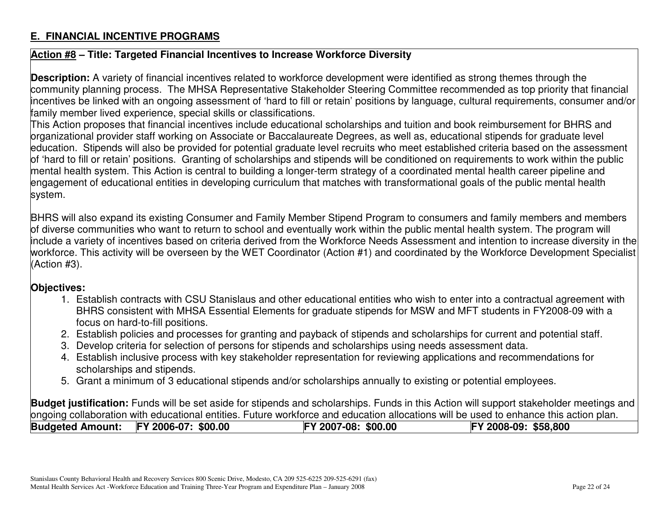# **E. FINANCIAL INCENTIVE PROGRAMS**

## **Action #8 – Title: Targeted Financial Incentives to Increase Workforce Diversity**

**Description:** A variety of financial incentives related to workforce development were identified as strong themes through the community planning process. The MHSA Representative Stakeholder Steering Committee recommended as top priority that financial incentives be linked with an ongoing assessment of 'hard to fill or retain' positions by language, cultural requirements, consumer and/or family member lived experience, special skills or classifications.

This Action proposes that financial incentives include educational scholarships and tuition and book reimbursement for BHRS and organizational provider staff working on Associate or Baccalaureate Degrees, as well as, educational stipends for graduate level education. Stipends will also be provided for potential graduate level recruits who meet established criteria based on the assessment of 'hard to fill or retain' positions. Granting of scholarships and stipends will be conditioned on requirements to work within the public mental health system. This Action is central to building <sup>a</sup> longer-term strategy of <sup>a</sup> coordinated mental health career pipeline and engagement of educational entities in developing curriculum that matches with transformational goals of the public mental health system.

BHRS will also expand its existing Consumer and Family Member Stipend Program to consumers and family members and members of diverse communities who want to return to school and eventually work within the public mental health system. The program will include <sup>a</sup> variety of incentives based on criteria derived from the Workforce Needs Assessment and intention to increase diversity in the workforce. This activity will be overseen by the WET Coordinator (Action #1) and coordinated by the Workforce Development Specialist (Action #3).

#### **Objectives:**

- 1. Establish contracts with CSU Stanislaus and other educational entities who wish to enter into <sup>a</sup> contractual agreement with BHRS consistent with MHSA Essential Elements for graduate stipends for MSW and MFT students in FY2008-09 with <sup>a</sup> focus on hard-to-fill positions.
- 2. Establish policies and processes for granting and payback of stipends and scholarships for current and potential staff.
- 3. Develop criteria for selection of persons for stipends and scholarships using needs assessment data.
- 4. Establish inclusive process with key stakeholder representation for reviewing applications and recommendations for scholarships and stipends.
- 5. Grant a minimum of 3 educational stipends and/or scholarships annually to existing or potential employees.

**Budget justification:** Funds will be set aside for stipends and scholarships. Funds in this Action will support stakeholder meetings and ongoing collaboration with educational entities. Future workforce and education allocations will be used to enhance this action plan.

| <b>Budgeted Amount:</b><br>FY 2006-07: \$00.00 | FY 2007-08: \$00.00 | FY 2008-09: \$58,800 |
|------------------------------------------------|---------------------|----------------------|
|------------------------------------------------|---------------------|----------------------|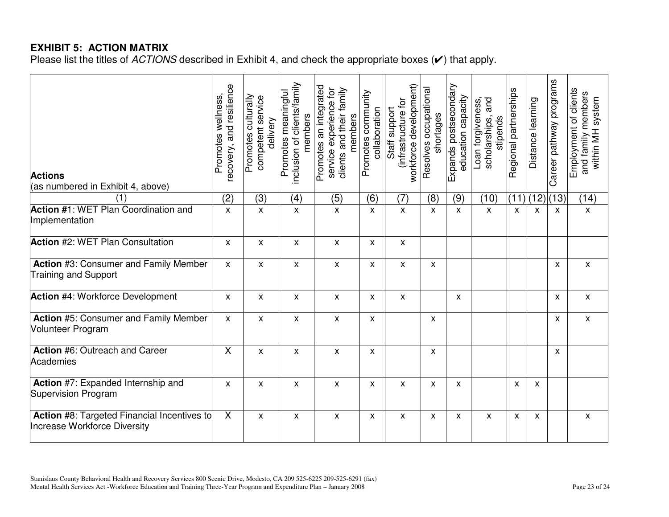# **EXHIBIT 5: ACTION MATRIX**

Please list the titles of *ACTIONS* described in Exhibit 4, and check the appropriate boxes (✔) that apply.

| <b>Actions</b><br>(as numbered in Exhibit 4, above)                                | recovery, and resilience<br>Promotes wellness, | Promotes culturally<br>competent service<br>delivery | inclusion of clients/family<br>Promotes meaningful<br>members | Promotes an integrated<br>service experience for<br>clients and their family<br>members | Promotes community<br>collaboration | workforce development)<br>infrastructure for<br>Staff support | Resolves occupational<br>shortages | Expands postsecondary<br>education capacity | and<br>Loan forgiveness,<br>scholarships,<br>stipends | Regional partnerships | Distance learning         | Career pathway programs | Employment of clients<br>and family members<br>within MH system |
|------------------------------------------------------------------------------------|------------------------------------------------|------------------------------------------------------|---------------------------------------------------------------|-----------------------------------------------------------------------------------------|-------------------------------------|---------------------------------------------------------------|------------------------------------|---------------------------------------------|-------------------------------------------------------|-----------------------|---------------------------|-------------------------|-----------------------------------------------------------------|
| (1)                                                                                | (2)                                            | (3)                                                  | (4)                                                           | (5)                                                                                     | (6)                                 | (7)                                                           | (8)                                | (9)                                         | (10)                                                  |                       |                           | (11) (12) (13)          | (14)                                                            |
| Action #1: WET Plan Coordination and<br>Implementation                             | X                                              | $\mathsf{x}$                                         | $\pmb{\mathsf{x}}$                                            | $\pmb{\times}$                                                                          | $\boldsymbol{\mathsf{X}}$           | $\pmb{\mathsf{X}}$                                            | $\pmb{\times}$                     | $\pmb{\times}$                              | $\pmb{\chi}$                                          | $\pmb{\times}$        | $\boldsymbol{\mathsf{X}}$ | $\pmb{\times}$          | $\mathsf X$                                                     |
| Action #2: WET Plan Consultation                                                   | X                                              | X                                                    | $\pmb{\chi}$                                                  | X                                                                                       | X                                   | X                                                             |                                    |                                             |                                                       |                       |                           |                         |                                                                 |
| <b>Action #3: Consumer and Family Member</b><br><b>Training and Support</b>        | X                                              | X                                                    | $\mathsf{x}$                                                  | $\boldsymbol{\mathsf{x}}$                                                               | X                                   | X                                                             | X                                  |                                             |                                                       |                       |                           | $\pmb{\chi}$            | $\mathsf{x}$                                                    |
| <b>Action #4: Workforce Development</b>                                            | X                                              | X                                                    | $\pmb{\chi}$                                                  | X                                                                                       | X                                   | $\mathsf{x}$                                                  |                                    | X                                           |                                                       |                       |                           | X                       | $\mathsf{x}$                                                    |
| <b>Action #5: Consumer and Family Member</b><br>Volunteer Program                  | X                                              | X                                                    | $\pmb{\chi}$                                                  | X                                                                                       | X                                   |                                                               | X                                  |                                             |                                                       |                       |                           | X                       | $\pmb{\mathsf{X}}$                                              |
| Action #6: Outreach and Career<br>Academies                                        | X                                              | X                                                    | X                                                             | X                                                                                       | X                                   |                                                               | X                                  |                                             |                                                       |                       |                           | X                       |                                                                 |
| Action #7: Expanded Internship and<br>Supervision Program                          | X                                              | X                                                    | X                                                             | X                                                                                       | X                                   | X                                                             | X                                  | X                                           |                                                       | X                     | $\boldsymbol{\mathsf{x}}$ |                         |                                                                 |
| Action #8: Targeted Financial Incentives to<br><b>Increase Workforce Diversity</b> | $\sf X$                                        | X                                                    | $\mathsf{x}$                                                  | X                                                                                       | X                                   | X                                                             | X                                  | X                                           | $\mathsf{x}$                                          | X                     | $\boldsymbol{\mathsf{x}}$ |                         | $\mathsf{X}$                                                    |